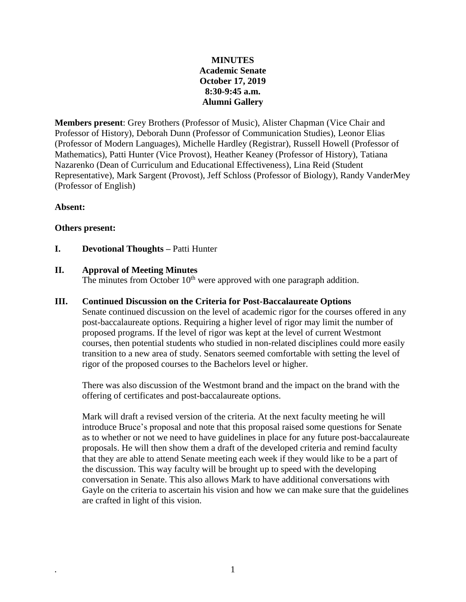# **MINUTES Academic Senate October 17, 2019 8:30-9:45 a.m. Alumni Gallery**

**Members present**: Grey Brothers (Professor of Music), Alister Chapman (Vice Chair and Professor of History), Deborah Dunn (Professor of Communication Studies), Leonor Elias (Professor of Modern Languages), Michelle Hardley (Registrar), Russell Howell (Professor of Mathematics), Patti Hunter (Vice Provost), Heather Keaney (Professor of History), Tatiana Nazarenko (Dean of Curriculum and Educational Effectiveness), Lina Reid (Student Representative), Mark Sargent (Provost), Jeff Schloss (Professor of Biology), Randy VanderMey (Professor of English)

## **Absent:**

## **Others present:**

**I. Devotional Thoughts –** Patti Hunter

## **II. Approval of Meeting Minutes**

The minutes from October  $10<sup>th</sup>$  were approved with one paragraph addition.

## **III. Continued Discussion on the Criteria for Post-Baccalaureate Options**

Senate continued discussion on the level of academic rigor for the courses offered in any post-baccalaureate options. Requiring a higher level of rigor may limit the number of proposed programs. If the level of rigor was kept at the level of current Westmont courses, then potential students who studied in non-related disciplines could more easily transition to a new area of study. Senators seemed comfortable with setting the level of rigor of the proposed courses to the Bachelors level or higher.

There was also discussion of the Westmont brand and the impact on the brand with the offering of certificates and post-baccalaureate options.

Mark will draft a revised version of the criteria. At the next faculty meeting he will introduce Bruce's proposal and note that this proposal raised some questions for Senate as to whether or not we need to have guidelines in place for any future post-baccalaureate proposals. He will then show them a draft of the developed criteria and remind faculty that they are able to attend Senate meeting each week if they would like to be a part of the discussion. This way faculty will be brought up to speed with the developing conversation in Senate. This also allows Mark to have additional conversations with Gayle on the criteria to ascertain his vision and how we can make sure that the guidelines are crafted in light of this vision.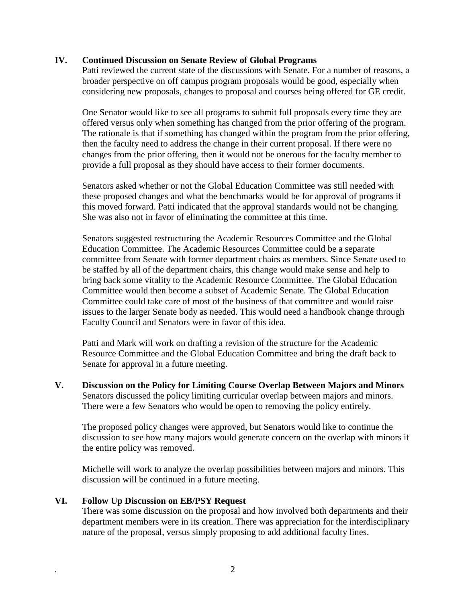## **IV. Continued Discussion on Senate Review of Global Programs**

Patti reviewed the current state of the discussions with Senate. For a number of reasons, a broader perspective on off campus program proposals would be good, especially when considering new proposals, changes to proposal and courses being offered for GE credit.

One Senator would like to see all programs to submit full proposals every time they are offered versus only when something has changed from the prior offering of the program. The rationale is that if something has changed within the program from the prior offering, then the faculty need to address the change in their current proposal. If there were no changes from the prior offering, then it would not be onerous for the faculty member to provide a full proposal as they should have access to their former documents.

Senators asked whether or not the Global Education Committee was still needed with these proposed changes and what the benchmarks would be for approval of programs if this moved forward. Patti indicated that the approval standards would not be changing. She was also not in favor of eliminating the committee at this time.

Senators suggested restructuring the Academic Resources Committee and the Global Education Committee. The Academic Resources Committee could be a separate committee from Senate with former department chairs as members. Since Senate used to be staffed by all of the department chairs, this change would make sense and help to bring back some vitality to the Academic Resource Committee. The Global Education Committee would then become a subset of Academic Senate. The Global Education Committee could take care of most of the business of that committee and would raise issues to the larger Senate body as needed. This would need a handbook change through Faculty Council and Senators were in favor of this idea.

Patti and Mark will work on drafting a revision of the structure for the Academic Resource Committee and the Global Education Committee and bring the draft back to Senate for approval in a future meeting.

**V. Discussion on the Policy for Limiting Course Overlap Between Majors and Minors** Senators discussed the policy limiting curricular overlap between majors and minors. There were a few Senators who would be open to removing the policy entirely.

The proposed policy changes were approved, but Senators would like to continue the discussion to see how many majors would generate concern on the overlap with minors if the entire policy was removed.

Michelle will work to analyze the overlap possibilities between majors and minors. This discussion will be continued in a future meeting.

## **VI. Follow Up Discussion on EB/PSY Request**

There was some discussion on the proposal and how involved both departments and their department members were in its creation. There was appreciation for the interdisciplinary nature of the proposal, versus simply proposing to add additional faculty lines.